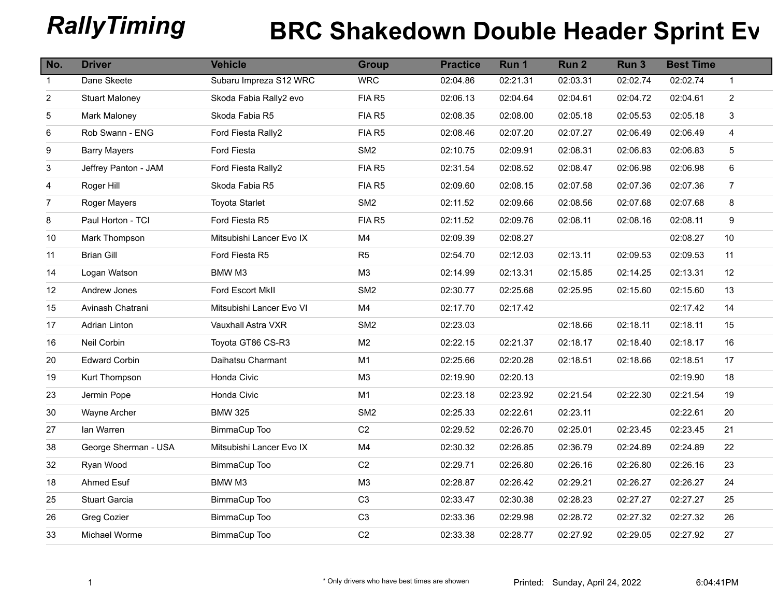## **RallyTiming BRC Shakedown Double Header Sprint Event 2)**

| No.            | <b>Driver</b>         | <b>Vehicle</b>           | <b>Group</b>    | <b>Practice</b> | Run 1    | Run <sub>2</sub> | Run <sub>3</sub> | <b>Best Time</b> |                |
|----------------|-----------------------|--------------------------|-----------------|-----------------|----------|------------------|------------------|------------------|----------------|
| $\mathbf{1}$   | Dane Skeete           | Subaru Impreza S12 WRC   | <b>WRC</b>      | 02:04.86        | 02:21.31 | 02:03.31         | 02:02.74         | 02:02.74         | $\mathbf{1}$   |
| $\overline{2}$ | <b>Stuart Maloney</b> | Skoda Fabia Rally2 evo   | FIA R5          | 02:06.13        | 02:04.64 | 02:04.61         | 02:04.72         | 02:04.61         | $\overline{a}$ |
| 5              | Mark Maloney          | Skoda Fabia R5           | FIA R5          | 02:08.35        | 02:08.00 | 02:05.18         | 02:05.53         | 02:05.18         | 3              |
| 6              | Rob Swann - ENG       | Ford Fiesta Rally2       | FIA R5          | 02:08.46        | 02:07.20 | 02:07.27         | 02:06.49         | 02:06.49         | $\overline{4}$ |
| 9              | <b>Barry Mayers</b>   | Ford Fiesta              | SM <sub>2</sub> | 02:10.75        | 02:09.91 | 02:08.31         | 02:06.83         | 02:06.83         | $\sqrt{5}$     |
| 3              | Jeffrey Panton - JAM  | Ford Fiesta Rally2       | FIA R5          | 02:31.54        | 02:08.52 | 02:08.47         | 02:06.98         | 02:06.98         | 6              |
| 4              | Roger Hill            | Skoda Fabia R5           | FIA R5          | 02:09.60        | 02:08.15 | 02:07.58         | 02:07.36         | 02:07.36         | $\overline{7}$ |
| $\overline{7}$ | Roger Mayers          | <b>Toyota Starlet</b>    | SM <sub>2</sub> | 02:11.52        | 02:09.66 | 02:08.56         | 02:07.68         | 02:07.68         | 8              |
| 8              | Paul Horton - TCI     | Ford Fiesta R5           | FIA R5          | 02:11.52        | 02:09.76 | 02:08.11         | 02:08.16         | 02:08.11         | 9              |
| 10             | Mark Thompson         | Mitsubishi Lancer Evo IX | M4              | 02:09.39        | 02:08.27 |                  |                  | 02:08.27         | 10             |
| 11             | <b>Brian Gill</b>     | Ford Fiesta R5           | R <sub>5</sub>  | 02:54.70        | 02:12.03 | 02:13.11         | 02:09.53         | 02:09.53         | 11             |
| 14             | Logan Watson          | BMW M3                   | M <sub>3</sub>  | 02:14.99        | 02:13.31 | 02:15.85         | 02:14.25         | 02:13.31         | 12             |
| 12             | Andrew Jones          | Ford Escort MkII         | SM <sub>2</sub> | 02:30.77        | 02:25.68 | 02:25.95         | 02:15.60         | 02:15.60         | 13             |
| 15             | Avinash Chatrani      | Mitsubishi Lancer Evo VI | M4              | 02:17.70        | 02:17.42 |                  |                  | 02:17.42         | 14             |
| 17             | Adrian Linton         | Vauxhall Astra VXR       | SM <sub>2</sub> | 02:23.03        |          | 02:18.66         | 02:18.11         | 02:18.11         | 15             |
| 16             | Neil Corbin           | Toyota GT86 CS-R3        | M <sub>2</sub>  | 02:22.15        | 02:21.37 | 02:18.17         | 02:18.40         | 02:18.17         | 16             |
| 20             | <b>Edward Corbin</b>  | Daihatsu Charmant        | M1              | 02:25.66        | 02:20.28 | 02:18.51         | 02:18.66         | 02:18.51         | 17             |
| 19             | Kurt Thompson         | Honda Civic              | M <sub>3</sub>  | 02:19.90        | 02:20.13 |                  |                  | 02:19.90         | 18             |
| 23             | Jermin Pope           | Honda Civic              | M1              | 02:23.18        | 02:23.92 | 02:21.54         | 02:22.30         | 02:21.54         | 19             |
| 30             | Wayne Archer          | <b>BMW 325</b>           | SM <sub>2</sub> | 02:25.33        | 02:22.61 | 02:23.11         |                  | 02:22.61         | 20             |
| 27             | lan Warren            | BimmaCup Too             | C <sub>2</sub>  | 02:29.52        | 02:26.70 | 02:25.01         | 02:23.45         | 02:23.45         | 21             |
| 38             | George Sherman - USA  | Mitsubishi Lancer Evo IX | M4              | 02:30.32        | 02:26.85 | 02:36.79         | 02:24.89         | 02:24.89         | 22             |
| 32             | Ryan Wood             | BimmaCup Too             | C <sub>2</sub>  | 02:29.71        | 02:26.80 | 02:26.16         | 02:26.80         | 02:26.16         | 23             |
| 18             | Ahmed Esuf            | BMW M3                   | M <sub>3</sub>  | 02:28.87        | 02:26.42 | 02:29.21         | 02:26.27         | 02:26.27         | 24             |
| 25             | Stuart Garcia         | BimmaCup Too             | C <sub>3</sub>  | 02:33.47        | 02:30.38 | 02:28.23         | 02:27.27         | 02:27.27         | 25             |
| 26             | Greg Cozier           | BimmaCup Too             | C <sub>3</sub>  | 02:33.36        | 02:29.98 | 02:28.72         | 02:27.32         | 02:27.32         | 26             |
| 33             | Michael Worme         | BimmaCup Too             | $\mbox{C2}$     | 02:33.38        | 02:28.77 | 02:27.92         | 02:29.05         | 02:27.92         | 27             |